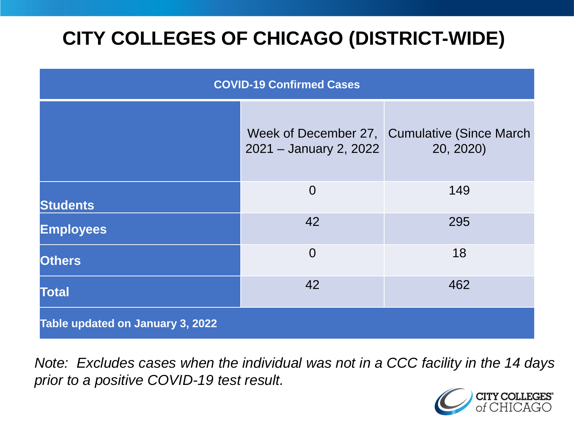# **CITY COLLEGES OF CHICAGO (DISTRICT-WIDE)**

| <b>COVID-19 Confirmed Cases</b>  |                        |                                                            |
|----------------------------------|------------------------|------------------------------------------------------------|
|                                  | 2021 - January 2, 2022 | Week of December 27, Cumulative (Since March)<br>20, 2020) |
| <b>Students</b>                  | $\overline{0}$         | 149                                                        |
| <b>Employees</b>                 | 42                     | 295                                                        |
| <b>Others</b>                    | $\overline{0}$         | 18                                                         |
| <b>Total</b>                     | 42                     | 462                                                        |
| Table updated on January 3, 2022 |                        |                                                            |

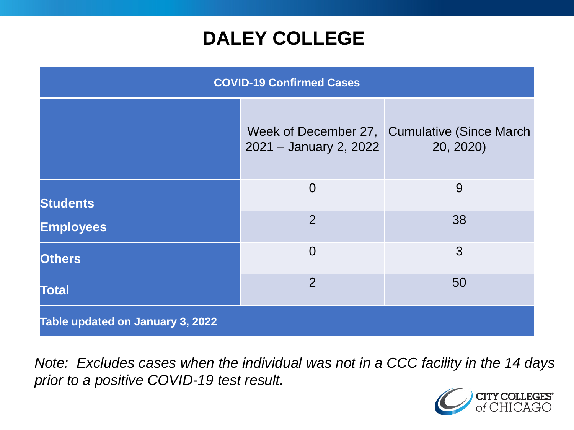### **DALEY COLLEGE**

| <b>COVID-19 Confirmed Cases</b>  |                        |                                                            |
|----------------------------------|------------------------|------------------------------------------------------------|
|                                  | 2021 - January 2, 2022 | Week of December 27, Cumulative (Since March)<br>20, 2020) |
| <b>Students</b>                  | $\overline{0}$         | 9                                                          |
| <b>Employees</b>                 | $\overline{2}$         | 38                                                         |
| <b>Others</b>                    | $\overline{0}$         | 3                                                          |
| <b>Total</b>                     | $\overline{2}$         | 50                                                         |
| Table updated on January 3, 2022 |                        |                                                            |

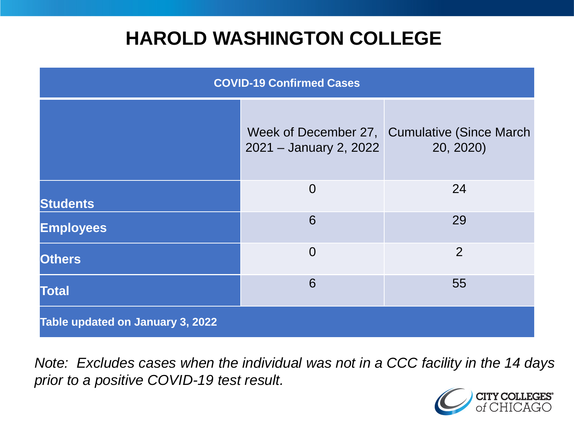### **HAROLD WASHINGTON COLLEGE**

| <b>COVID-19 Confirmed Cases</b>  |                        |                                                            |
|----------------------------------|------------------------|------------------------------------------------------------|
|                                  | 2021 - January 2, 2022 | Week of December 27, Cumulative (Since March)<br>20, 2020) |
| <b>Students</b>                  | $\overline{0}$         | 24                                                         |
| <b>Employees</b>                 | 6                      | 29                                                         |
| <b>Others</b>                    | $\overline{0}$         | $\overline{2}$                                             |
| <b>Total</b>                     | 6                      | 55                                                         |
| Table updated on January 3, 2022 |                        |                                                            |

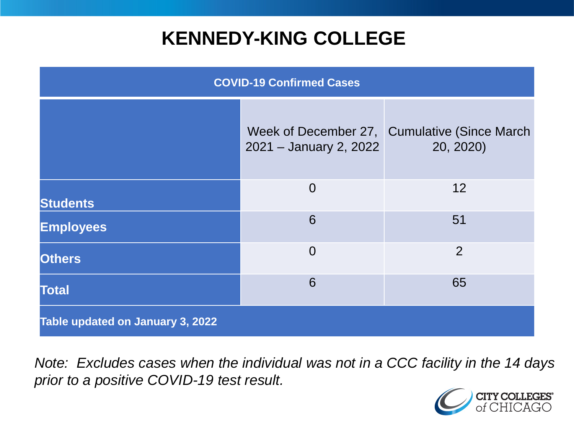### **KENNEDY-KING COLLEGE**

| <b>COVID-19 Confirmed Cases</b>  |                        |                                                            |
|----------------------------------|------------------------|------------------------------------------------------------|
|                                  | 2021 - January 2, 2022 | Week of December 27, Cumulative (Since March)<br>20, 2020) |
| <b>Students</b>                  | $\overline{0}$         | 12                                                         |
| <b>Employees</b>                 | 6                      | 51                                                         |
| <b>Others</b>                    | $\overline{0}$         | $\overline{2}$                                             |
| <b>Total</b>                     | 6                      | 65                                                         |
| Table updated on January 3, 2022 |                        |                                                            |

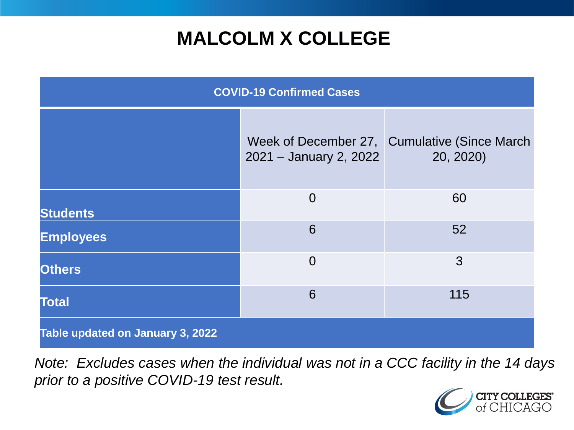# **MALCOLM X COLLEGE**

| <b>COVID-19 Confirmed Cases</b>  |                        |                                                            |
|----------------------------------|------------------------|------------------------------------------------------------|
|                                  | 2021 - January 2, 2022 | Week of December 27, Cumulative (Since March)<br>20, 2020) |
| <b>Students</b>                  | $\overline{0}$         | 60                                                         |
| <b>Employees</b>                 | 6                      | 52                                                         |
| <b>Others</b>                    | $\overline{0}$         | 3                                                          |
| <b>Total</b>                     | 6                      | 115                                                        |
| Table updated on January 3, 2022 |                        |                                                            |

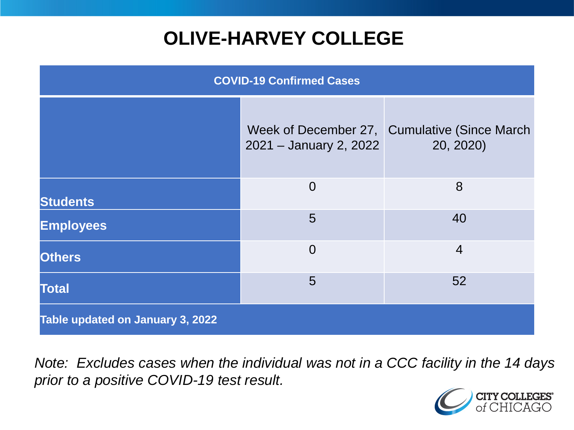# **OLIVE-HARVEY COLLEGE**

| <b>COVID-19 Confirmed Cases</b>  |                        |                                                            |
|----------------------------------|------------------------|------------------------------------------------------------|
|                                  | 2021 - January 2, 2022 | Week of December 27, Cumulative (Since March)<br>20, 2020) |
| <b>Students</b>                  | $\overline{0}$         | 8                                                          |
| <b>Employees</b>                 | 5                      | 40                                                         |
| <b>Others</b>                    | $\overline{0}$         | $\overline{4}$                                             |
| <b>Total</b>                     | 5                      | 52                                                         |
| Table updated on January 3, 2022 |                        |                                                            |

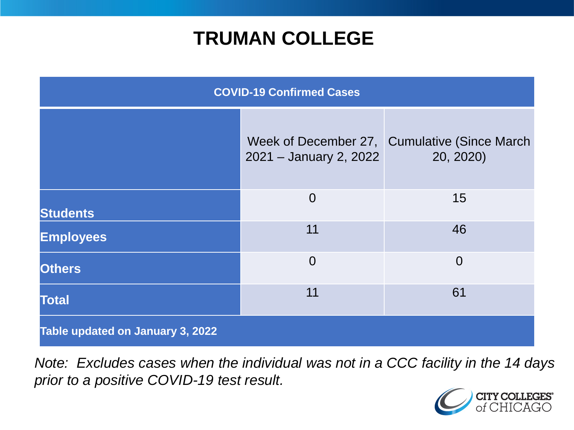### **TRUMAN COLLEGE**

| <b>COVID-19 Confirmed Cases</b>  |                        |                                                            |
|----------------------------------|------------------------|------------------------------------------------------------|
|                                  | 2021 - January 2, 2022 | Week of December 27, Cumulative (Since March)<br>20, 2020) |
| <b>Students</b>                  | $\overline{0}$         | 15                                                         |
| <b>Employees</b>                 | 11                     | 46                                                         |
| <b>Others</b>                    | $\overline{0}$         | $\overline{0}$                                             |
| <b>Total</b>                     | 11                     | 61                                                         |
| Table updated on January 3, 2022 |                        |                                                            |

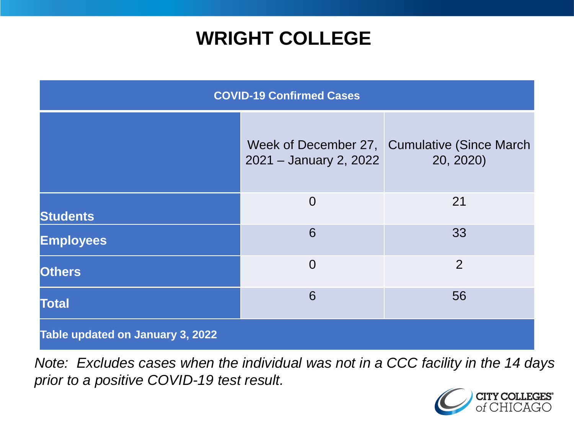### **WRIGHT COLLEGE**

| <b>COVID-19 Confirmed Cases</b>  |                        |                                                            |
|----------------------------------|------------------------|------------------------------------------------------------|
|                                  | 2021 - January 2, 2022 | Week of December 27, Cumulative (Since March)<br>20, 2020) |
| <b>Students</b>                  | $\overline{0}$         | 21                                                         |
| <b>Employees</b>                 | 6                      | 33                                                         |
| <b>Others</b>                    | $\overline{0}$         | $\overline{2}$                                             |
| <b>Total</b>                     | 6                      | 56                                                         |
| Table updated on January 3, 2022 |                        |                                                            |